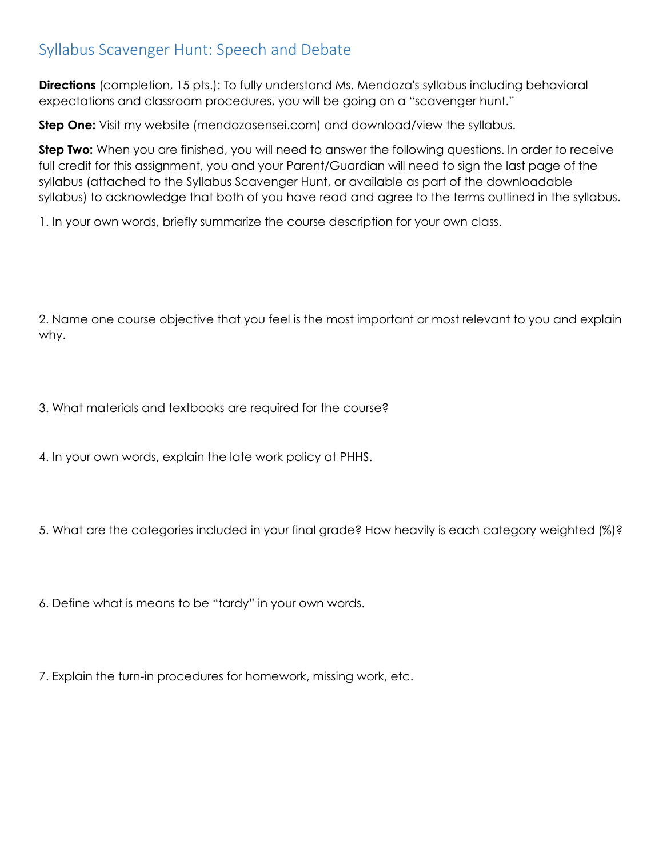## Syllabus Scavenger Hunt: Speech and Debate

**Directions** (completion, 15 pts.): To fully understand Ms. Mendoza's syllabus including behavioral expectations and classroom procedures, you will be going on a "scavenger hunt."

**Step One:** Visit my website (mendozasensei.com) and download/view the syllabus.

**Step Two:** When you are finished, you will need to answer the following questions. In order to receive full credit for this assignment, you and your Parent/Guardian will need to sign the last page of the syllabus (attached to the Syllabus Scavenger Hunt, or available as part of the downloadable syllabus) to acknowledge that both of you have read and agree to the terms outlined in the syllabus.

1. In your own words, briefly summarize the course description for your own class.

2. Name one course objective that you feel is the most important or most relevant to you and explain why.

3. What materials and textbooks are required for the course?

4. In your own words, explain the late work policy at PHHS.

5. What are the categories included in your final grade? How heavily is each category weighted (%)?

6. Define what is means to be "tardy" in your own words.

7. Explain the turn-in procedures for homework, missing work, etc.